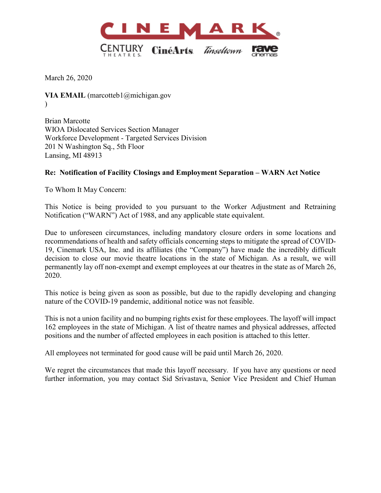

March 26, 2020

**VIA EMAIL** (marcotteb1@michigan.gov  $\lambda$ 

Brian Marcotte WIOA Dislocated Services Section Manager Workforce Development - Targeted Services Division 201 N Washington Sq., 5th Floor Lansing, MI 48913

## **Re: Notification of Facility Closings and Employment Separation – WARN Act Notice**

To Whom It May Concern:

This Notice is being provided to you pursuant to the Worker Adjustment and Retraining Notification ("WARN") Act of 1988, and any applicable state equivalent.

Due to unforeseen circumstances, including mandatory closure orders in some locations and recommendations of health and safety officials concerning steps to mitigate the spread of COVID-19, Cinemark USA, Inc. and its affiliates (the "Company") have made the incredibly difficult decision to close our movie theatre locations in the state of Michigan. As a result, we will permanently lay off non-exempt and exempt employees at our theatres in the state as of March 26, 2020.

This notice is being given as soon as possible, but due to the rapidly developing and changing nature of the COVID-19 pandemic, additional notice was not feasible.

This is not a union facility and no bumping rights exist for these employees. The layoff will impact 162 employees in the state of Michigan. A list of theatre names and physical addresses, affected positions and the number of affected employees in each position is attached to this letter.

All employees not terminated for good cause will be paid until March 26, 2020.

We regret the circumstances that made this layoff necessary. If you have any questions or need further information, you may contact Sid Srivastava, Senior Vice President and Chief Human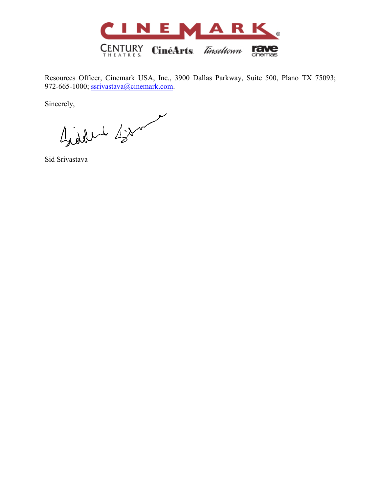

Resources Officer, Cinemark USA, Inc., 3900 Dallas Parkway, Suite 500, Plano TX 75093; 972-665-1000; [ssrivastava@cinemark.com.](mailto:ssrivastava@cinemark.com)

Sincerely,

Giddet Bro

Sid Srivastava